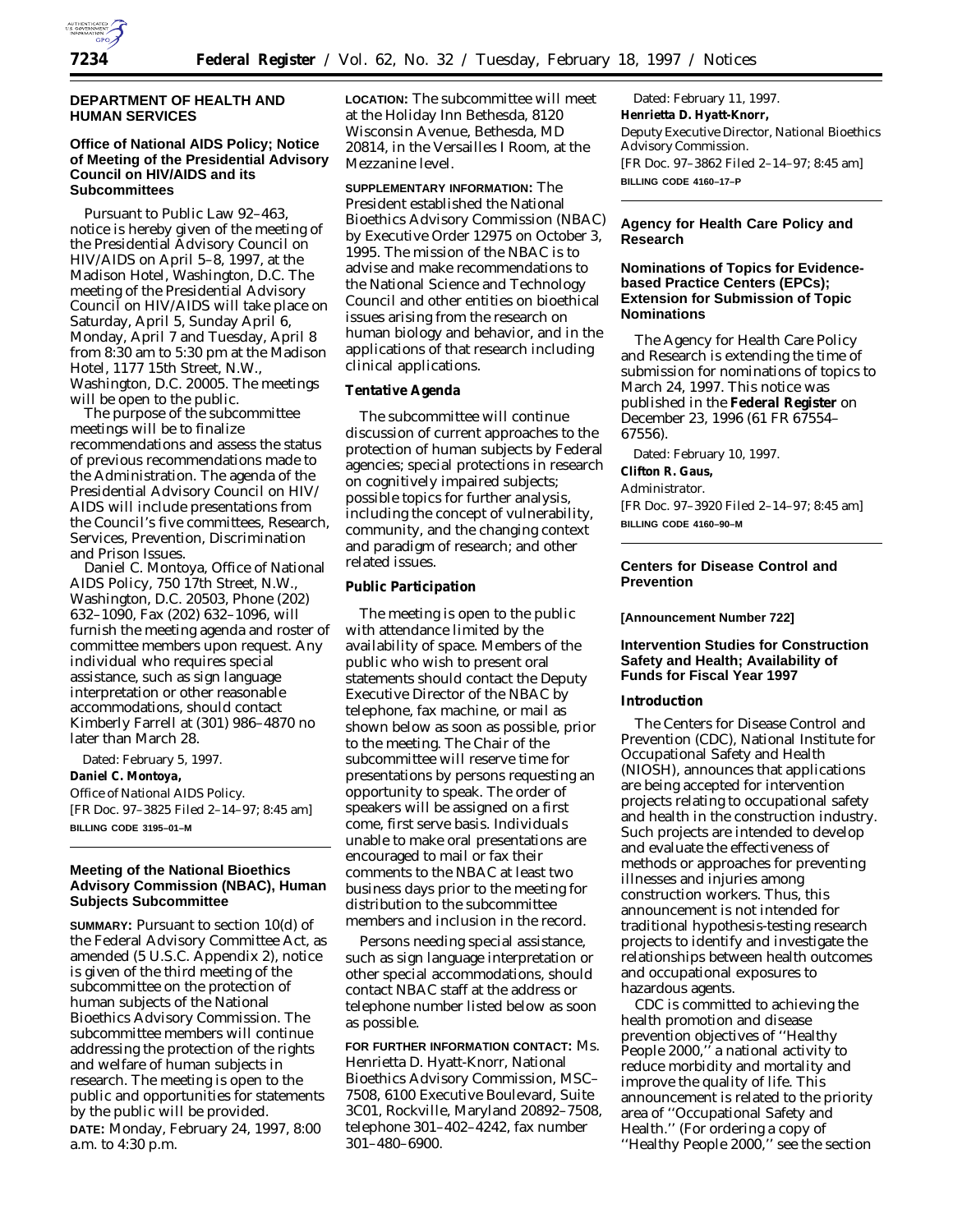

# **DEPARTMENT OF HEALTH AND HUMAN SERVICES**

# **Office of National AIDS Policy; Notice of Meeting of the Presidential Advisory Council on HIV/AIDS and its Subcommittees**

Pursuant to Public Law 92–463, notice is hereby given of the meeting of the Presidential Advisory Council on HIV/AIDS on April 5–8, 1997, at the Madison Hotel, Washington, D.C. The meeting of the Presidential Advisory Council on HIV/AIDS will take place on Saturday, April 5, Sunday April 6, Monday, April 7 and Tuesday, April 8 from 8:30 am to 5:30 pm at the Madison Hotel, 1177 15th Street, N.W., Washington, D.C. 20005. The meetings will be open to the public.

The purpose of the subcommittee meetings will be to finalize recommendations and assess the status of previous recommendations made to the Administration. The agenda of the Presidential Advisory Council on HIV/ AIDS will include presentations from the Council's five committees, Research, Services, Prevention, Discrimination and Prison Issues.

Daniel C. Montoya, Office of National AIDS Policy, 750 17th Street, N.W., Washington, D.C. 20503, Phone (202) 632–1090, Fax (202) 632–1096, will furnish the meeting agenda and roster of committee members upon request. Any individual who requires special assistance, such as sign language interpretation or other reasonable accommodations, should contact Kimberly Farrell at (301) 986–4870 no later than March 28.

Dated: February 5, 1997. **Daniel C. Montoya,** *Office of National AIDS Policy.* [FR Doc. 97–3825 Filed 2–14–97; 8:45 am] **BILLING CODE 3195–01–M**

# **Meeting of the National Bioethics Advisory Commission (NBAC), Human Subjects Subcommittee**

**SUMMARY:** Pursuant to section 10(d) of the Federal Advisory Committee Act, as amended (5 U.S.C. Appendix 2), notice is given of the third meeting of the subcommittee on the protection of human subjects of the National Bioethics Advisory Commission. The subcommittee members will continue addressing the protection of the rights and welfare of human subjects in research. The meeting is open to the public and opportunities for statements by the public will be provided. **DATE:** Monday, February 24, 1997, 8:00 a.m. to 4:30 p.m.

**LOCATION:** The subcommittee will meet at the Holiday Inn Bethesda, 8120 Wisconsin Avenue, Bethesda, MD 20814, in the Versailles I Room, at the Mezzanine level.

**SUPPLEMENTARY INFORMATION:** The President established the National Bioethics Advisory Commission (NBAC) by Executive Order 12975 on October 3, 1995. The mission of the NBAC is to advise and make recommendations to the National Science and Technology Council and other entities on bioethical issues arising from the research on human biology and behavior, and in the applications of that research including clinical applications.

## **Tentative Agenda**

The subcommittee will continue discussion of current approaches to the protection of human subjects by Federal agencies; special protections in research on cognitively impaired subjects; possible topics for further analysis, including the concept of vulnerability, community, and the changing context and paradigm of research; and other related issues.

### **Public Participation**

The meeting is open to the public with attendance limited by the availability of space. Members of the public who wish to present oral statements should contact the Deputy Executive Director of the NBAC by telephone, fax machine, or mail as shown below as soon as possible, prior to the meeting. The Chair of the subcommittee will reserve time for presentations by persons requesting an opportunity to speak. The order of speakers will be assigned on a first come, first serve basis. Individuals unable to make oral presentations are encouraged to mail or fax their comments to the NBAC at least two business days prior to the meeting for distribution to the subcommittee members and inclusion in the record.

Persons needing special assistance, such as sign language interpretation or other special accommodations, should contact NBAC staff at the address or telephone number listed below as soon as possible.

**FOR FURTHER INFORMATION CONTACT:** Ms. Henrietta D. Hyatt-Knorr, National Bioethics Advisory Commission, MSC– 7508, 6100 Executive Boulevard, Suite 3C01, Rockville, Maryland 20892–7508, telephone 301–402–4242, fax number 301–480–6900.

Dated: February 11, 1997. **Henrietta D. Hyatt-Knorr,** *Deputy Executive Director, National Bioethics Advisory Commission.* [FR Doc. 97–3862 Filed 2–14–97; 8:45 am] **BILLING CODE 4160–17–P**

# **Agency for Health Care Policy and Research**

## **Nominations of Topics for Evidencebased Practice Centers (EPCs); Extension for Submission of Topic Nominations**

The Agency for Health Care Policy and Research is extending the time of submission for nominations of topics to March 24, 1997. This notice was published in the **Federal Register** on December 23, 1996 (61 FR 67554– 67556).

Dated: February 10, 1997. **Clifton R. Gaus,** *Administrator.* [FR Doc. 97–3920 Filed 2–14–97; 8:45 am] **BILLING CODE 4160–90–M**

# **Centers for Disease Control and Prevention**

### **[Announcement Number 722]**

# **Intervention Studies for Construction Safety and Health; Availability of Funds for Fiscal Year 1997**

## **Introduction**

The Centers for Disease Control and Prevention (CDC), National Institute for Occupational Safety and Health (NIOSH), announces that applications are being accepted for intervention projects relating to occupational safety and health in the construction industry. Such projects are intended to develop and evaluate the effectiveness of methods or approaches for preventing illnesses and injuries among construction workers. Thus, this announcement is not intended for traditional hypothesis-testing research projects to identify and investigate the relationships between health outcomes and occupational exposures to hazardous agents.

CDC is committed to achieving the health promotion and disease prevention objectives of ''Healthy People 2000,'' a national activity to reduce morbidity and mortality and improve the quality of life. This announcement is related to the priority area of ''Occupational Safety and Health." (For ordering a copy of ''Healthy People 2000,'' see the section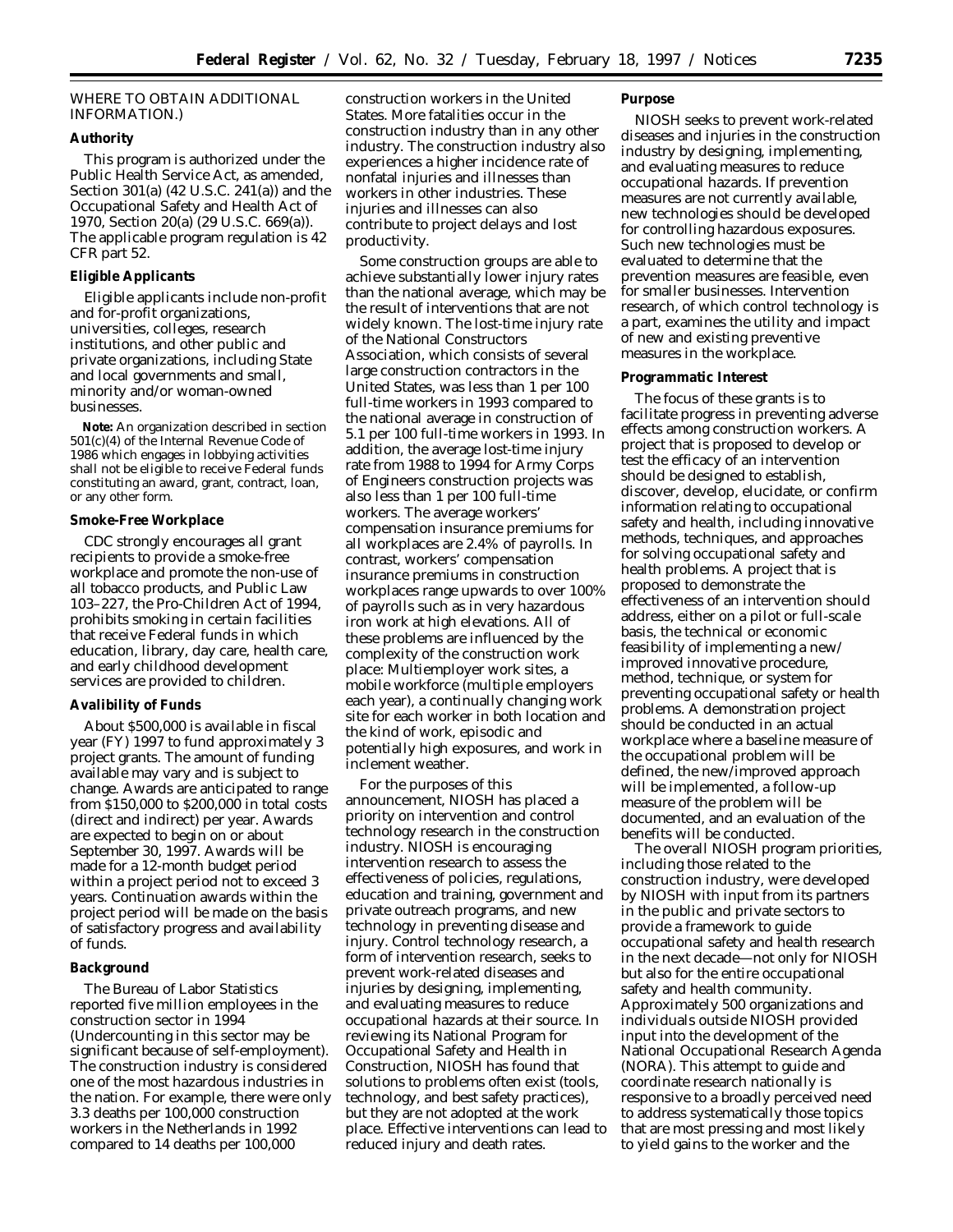# WHERE TO OBTAIN ADDITIONAL INFORMATION.)

#### **Authority**

This program is authorized under the Public Health Service Act, as amended, Section 301(a) (42 U.S.C. 241(a)) and the Occupational Safety and Health Act of 1970, Section 20(a) (29 U.S.C. 669(a)). The applicable program regulation is 42 CFR part 52.

#### **Eligible Applicants**

Eligible applicants include non-profit and for-profit organizations, universities, colleges, research institutions, and other public and private organizations, including State and local governments and small, minority and/or woman-owned businesses.

**Note:** An organization described in section 501(c)(4) of the Internal Revenue Code of 1986 which engages in lobbying activities shall not be eligible to receive Federal funds constituting an award, grant, contract, loan, or any other form.

#### **Smoke-Free Workplace**

CDC strongly encourages all grant recipients to provide a smoke-free workplace and promote the non-use of all tobacco products, and Public Law 103–227, the Pro-Children Act of 1994, prohibits smoking in certain facilities that receive Federal funds in which education, library, day care, health care, and early childhood development services are provided to children.

#### **Avalibility of Funds**

About \$500,000 is available in fiscal year (FY) 1997 to fund approximately 3 project grants. The amount of funding available may vary and is subject to change. Awards are anticipated to range from \$150,000 to \$200,000 in total costs (direct and indirect) per year. Awards are expected to begin on or about September 30, 1997. Awards will be made for a 12-month budget period within a project period not to exceed 3 years. Continuation awards within the project period will be made on the basis of satisfactory progress and availability of funds.

#### **Background**

The Bureau of Labor Statistics reported five million employees in the construction sector in 1994 (Undercounting in this sector may be significant because of self-employment). The construction industry is considered one of the most hazardous industries in the nation. For example, there were only 3.3 deaths per 100,000 construction workers in the Netherlands in 1992 compared to 14 deaths per 100,000

construction workers in the United States. More fatalities occur in the construction industry than in any other industry. The construction industry also experiences a higher incidence rate of nonfatal injuries and illnesses than workers in other industries. These injuries and illnesses can also contribute to project delays and lost productivity.

Some construction groups are able to achieve substantially lower injury rates than the national average, which may be the result of interventions that are not widely known. The lost-time injury rate of the National Constructors Association, which consists of several large construction contractors in the United States, was less than 1 per 100 full-time workers in 1993 compared to the national average in construction of 5.1 per 100 full-time workers in 1993. In addition, the average lost-time injury rate from 1988 to 1994 for Army Corps of Engineers construction projects was also less than 1 per 100 full-time workers. The average workers' compensation insurance premiums for all workplaces are 2.4% of payrolls. In contrast, workers' compensation insurance premiums in construction workplaces range upwards to over 100% of payrolls such as in very hazardous iron work at high elevations. All of these problems are influenced by the complexity of the construction work place: Multiemployer work sites, a mobile workforce (multiple employers each year), a continually changing work site for each worker in both location and the kind of work, episodic and potentially high exposures, and work in inclement weather.

For the purposes of this announcement, NIOSH has placed a priority on intervention and control technology research in the construction industry. NIOSH is encouraging intervention research to assess the effectiveness of policies, regulations, education and training, government and private outreach programs, and new technology in preventing disease and injury. Control technology research, a form of intervention research, seeks to prevent work-related diseases and injuries by designing, implementing, and evaluating measures to reduce occupational hazards at their source. In reviewing its National Program for Occupational Safety and Health in Construction, NIOSH has found that solutions to problems often exist (tools, technology, and best safety practices), but they are not adopted at the work place. Effective interventions can lead to reduced injury and death rates.

# **Purpose**

NIOSH seeks to prevent work-related diseases and injuries in the construction industry by designing, implementing, and evaluating measures to reduce occupational hazards. If prevention measures are not currently available, new technologies should be developed for controlling hazardous exposures. Such new technologies must be evaluated to determine that the prevention measures are feasible, even for smaller businesses. Intervention research, of which control technology is a part, examines the utility and impact of new and existing preventive measures in the workplace.

### **Programmatic Interest**

The focus of these grants is to facilitate progress in preventing adverse effects among construction workers. A project that is proposed to develop or test the efficacy of an intervention should be designed to establish, discover, develop, elucidate, or confirm information relating to occupational safety and health, including innovative methods, techniques, and approaches for solving occupational safety and health problems. A project that is proposed to demonstrate the effectiveness of an intervention should address, either on a pilot or full-scale basis, the technical or economic feasibility of implementing a new/ improved innovative procedure, method, technique, or system for preventing occupational safety or health problems. A demonstration project should be conducted in an actual workplace where a baseline measure of the occupational problem will be defined, the new/improved approach will be implemented, a follow-up measure of the problem will be documented, and an evaluation of the benefits will be conducted.

The overall NIOSH program priorities, including those related to the construction industry, were developed by NIOSH with input from its partners in the public and private sectors to provide a framework to guide occupational safety and health research in the next decade—not only for NIOSH but also for the entire occupational safety and health community. Approximately 500 organizations and individuals outside NIOSH provided input into the development of the National Occupational Research Agenda (NORA). This attempt to guide and coordinate research nationally is responsive to a broadly perceived need to address systematically those topics that are most pressing and most likely to yield gains to the worker and the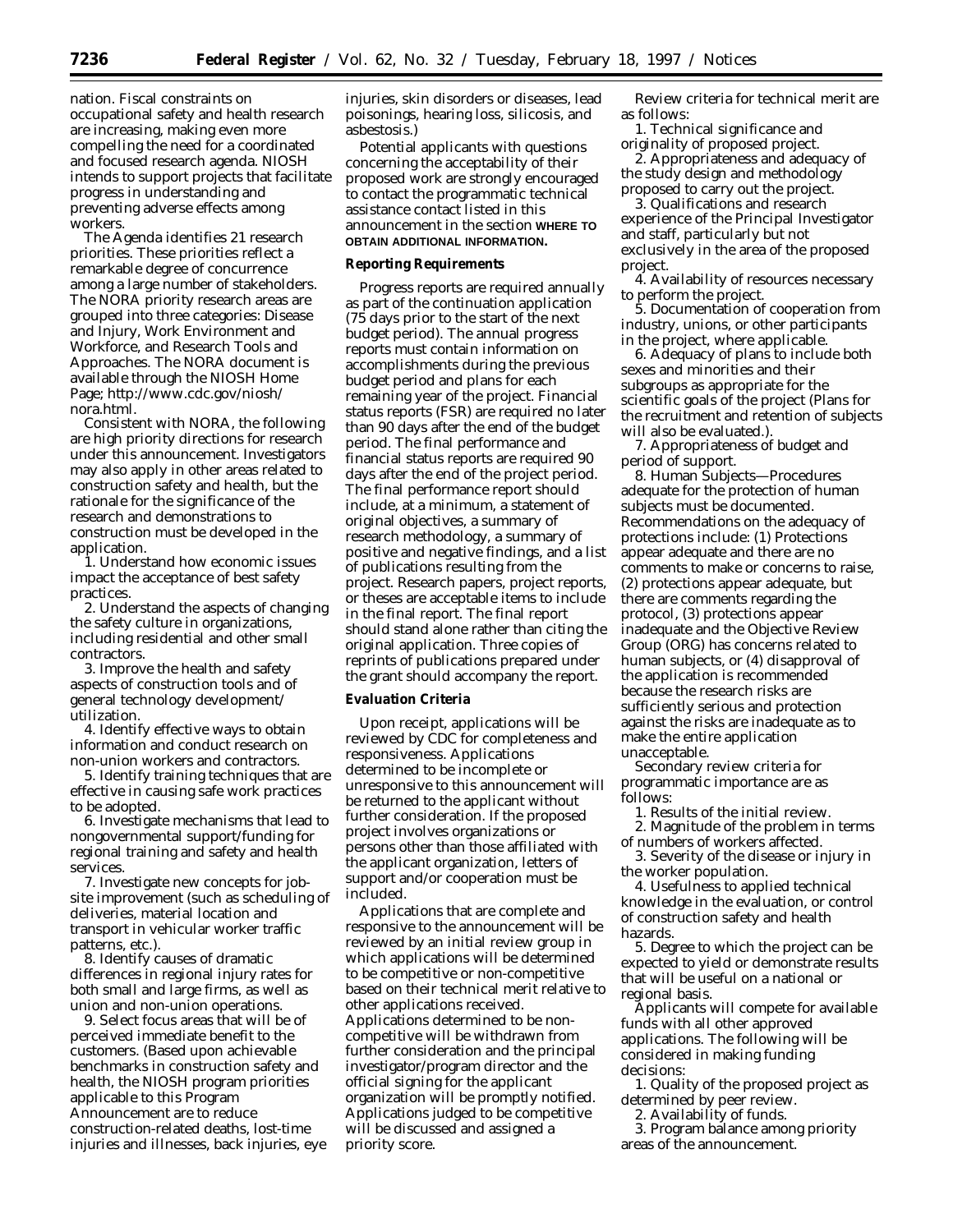nation. Fiscal constraints on occupational safety and health research are increasing, making even more compelling the need for a coordinated and focused research agenda. NIOSH intends to support projects that facilitate progress in understanding and preventing adverse effects among workers.

The Agenda identifies 21 research priorities. These priorities reflect a remarkable degree of concurrence among a large number of stakeholders. The NORA priority research areas are grouped into three categories: Disease and Injury, Work Environment and Workforce, and Research Tools and Approaches. The NORA document is available through the NIOSH Home Page; http://www.cdc.gov/niosh/ nora.html.

Consistent with NORA, the following are high priority directions for research under this announcement. Investigators may also apply in other areas related to construction safety and health, but the rationale for the significance of the research and demonstrations to construction must be developed in the application.

1. Understand how economic issues impact the acceptance of best safety practices.

2. Understand the aspects of changing the safety culture in organizations, including residential and other small contractors.

3. Improve the health and safety aspects of construction tools and of general technology development/ utilization.

4. Identify effective ways to obtain information and conduct research on non-union workers and contractors.

5. Identify training techniques that are effective in causing safe work practices to be adopted.

6. Investigate mechanisms that lead to nongovernmental support/funding for regional training and safety and health services.

7. Investigate new concepts for jobsite improvement (such as scheduling of deliveries, material location and transport in vehicular worker traffic patterns, etc.).

8. Identify causes of dramatic differences in regional injury rates for both small and large firms, as well as union and non-union operations.

9. Select focus areas that will be of perceived immediate benefit to the customers. (Based upon achievable benchmarks in construction safety and health, the NIOSH program priorities applicable to this Program Announcement are to reduce construction-related deaths, lost-time injuries and illnesses, back injuries, eye injuries, skin disorders or diseases, lead poisonings, hearing loss, silicosis, and asbestosis.)

Potential applicants with questions concerning the acceptability of their proposed work are strongly encouraged to contact the programmatic technical assistance contact listed in this announcement in the section **WHERE TO OBTAIN ADDITIONAL INFORMATION.**

## **Reporting Requirements**

Progress reports are required annually as part of the continuation application (75 days prior to the start of the next budget period). The annual progress reports must contain information on accomplishments during the previous budget period and plans for each remaining year of the project. Financial status reports (FSR) are required no later than 90 days after the end of the budget period. The final performance and financial status reports are required 90 days after the end of the project period. The final performance report should include, at a minimum, a statement of original objectives, a summary of research methodology, a summary of positive and negative findings, and a list of publications resulting from the project. Research papers, project reports, or theses are acceptable items to include in the final report. The final report should stand alone rather than citing the original application. Three copies of reprints of publications prepared under the grant should accompany the report.

#### **Evaluation Criteria**

Upon receipt, applications will be reviewed by CDC for completeness and responsiveness. Applications determined to be incomplete or unresponsive to this announcement will be returned to the applicant without further consideration. If the proposed project involves organizations or persons other than those affiliated with the applicant organization, letters of support and/or cooperation must be included.

Applications that are complete and responsive to the announcement will be reviewed by an initial review group in which applications will be determined to be competitive or non-competitive based on their technical merit relative to other applications received. Applications determined to be noncompetitive will be withdrawn from further consideration and the principal investigator/program director and the official signing for the applicant organization will be promptly notified. Applications judged to be competitive will be discussed and assigned a priority score.

Review criteria for technical merit are as follows:

1. Technical significance and originality of proposed project.

2. Appropriateness and adequacy of the study design and methodology proposed to carry out the project.

3. Qualifications and research experience of the Principal Investigator and staff, particularly but not exclusively in the area of the proposed project.

4. Availability of resources necessary to perform the project.

5. Documentation of cooperation from industry, unions, or other participants in the project, where applicable.

6. Adequacy of plans to include both sexes and minorities and their subgroups as appropriate for the scientific goals of the project (Plans for the recruitment and retention of subjects will also be evaluated.).

7. Appropriateness of budget and period of support.

8. Human Subjects—Procedures adequate for the protection of human subjects must be documented. Recommendations on the adequacy of protections include: (1) Protections appear adequate and there are no comments to make or concerns to raise, (2) protections appear adequate, but there are comments regarding the protocol, (3) protections appear inadequate and the Objective Review Group (ORG) has concerns related to human subjects, or (4) disapproval of the application is recommended because the research risks are sufficiently serious and protection against the risks are inadequate as to make the entire application unacceptable.

Secondary review criteria for programmatic importance are as follows:

1. Results of the initial review. 2. Magnitude of the problem in terms of numbers of workers affected.

3. Severity of the disease or injury in the worker population.

4. Usefulness to applied technical knowledge in the evaluation, or control of construction safety and health hazards.

5. Degree to which the project can be expected to yield or demonstrate results that will be useful on a national or regional basis.

Applicants will compete for available funds with all other approved applications. The following will be considered in making funding decisions:

1. Quality of the proposed project as determined by peer review.

2. Availability of funds.

3. Program balance among priority areas of the announcement.